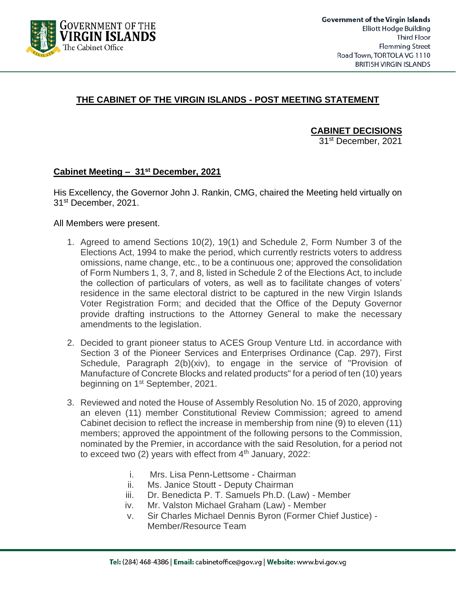

## **THE CABINET OF THE VIRGIN ISLANDS - POST MEETING STATEMENT**

**CABINET DECISIONS**

31st December, 2021

### **Cabinet Meeting – 31st December, 2021**

His Excellency, the Governor John J. Rankin, CMG, chaired the Meeting held virtually on 31st December, 2021.

#### All Members were present.

- 1. Agreed to amend Sections 10(2), 19(1) and Schedule 2, Form Number 3 of the Elections Act, 1994 to make the period, which currently restricts voters to address omissions, name change, etc., to be a continuous one; approved the consolidation of Form Numbers 1, 3, 7, and 8, listed in Schedule 2 of the Elections Act, to include the collection of particulars of voters, as well as to facilitate changes of voters' residence in the same electoral district to be captured in the new Virgin Islands Voter Registration Form; and decided that the Office of the Deputy Governor provide drafting instructions to the Attorney General to make the necessary amendments to the legislation.
- 2. Decided to grant pioneer status to ACES Group Venture Ltd. in accordance with Section 3 of the Pioneer Services and Enterprises Ordinance (Cap. 297), First Schedule, Paragraph 2(b)(xiv), to engage in the service of "Provision of Manufacture of Concrete Blocks and related products" for a period of ten (10) years beginning on 1<sup>st</sup> September, 2021.
- 3. Reviewed and noted the House of Assembly Resolution No. 15 of 2020, approving an eleven (11) member Constitutional Review Commission; agreed to amend Cabinet decision to reflect the increase in membership from nine (9) to eleven (11) members; approved the appointment of the following persons to the Commission, nominated by the Premier, in accordance with the said Resolution, for a period not to exceed two  $(2)$  years with effect from  $4<sup>th</sup>$  January, 2022:
	- i. Mrs. Lisa Penn-Lettsome Chairman
	- ii. Ms. Janice Stoutt Deputy Chairman
	- iii. Dr. Benedicta P. T. Samuels Ph.D. (Law) Member
	- iv. Mr. Valston Michael Graham (Law) Member
	- v. Sir Charles Michael Dennis Byron (Former Chief Justice) Member/Resource Team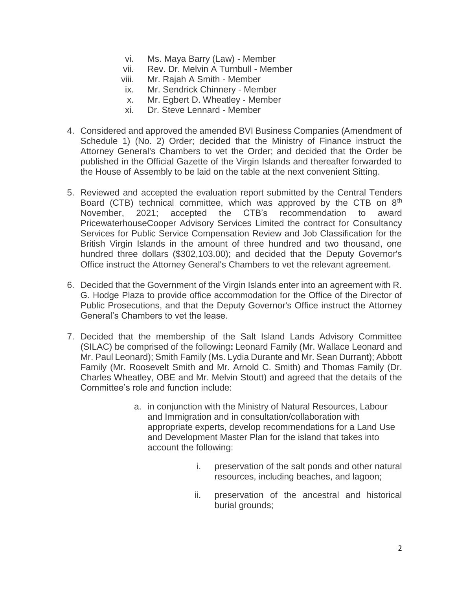- vi. Ms. Maya Barry (Law) Member
- vii. Rev. Dr. Melvin A Turnbull Member
- viii. Mr. Rajah A Smith Member
	- ix. Mr. Sendrick Chinnery Member
	- x. Mr. Egbert D. Wheatley Member
	- xi. Dr. Steve Lennard Member
- 4. Considered and approved the amended BVI Business Companies (Amendment of Schedule 1) (No. 2) Order; decided that the Ministry of Finance instruct the Attorney General's Chambers to vet the Order; and decided that the Order be published in the Official Gazette of the Virgin Islands and thereafter forwarded to the House of Assembly to be laid on the table at the next convenient Sitting.
- 5. Reviewed and accepted the evaluation report submitted by the Central Tenders Board (CTB) technical committee, which was approved by the CTB on 8<sup>th</sup> November, 2021; accepted the CTB's recommendation to award PricewaterhouseCooper Advisory Services Limited the contract for Consultancy Services for Public Service Compensation Review and Job Classification for the British Virgin Islands in the amount of three hundred and two thousand, one hundred three dollars (\$302,103.00); and decided that the Deputy Governor's Office instruct the Attorney General's Chambers to vet the relevant agreement.
- 6. Decided that the Government of the Virgin Islands enter into an agreement with R. G. Hodge Plaza to provide office accommodation for the Office of the Director of Public Prosecutions, and that the Deputy Governor's Office instruct the Attorney General's Chambers to vet the lease.
- 7. Decided that the membership of the Salt Island Lands Advisory Committee (SILAC) be comprised of the following**:** Leonard Family (Mr. Wallace Leonard and Mr. Paul Leonard); Smith Family (Ms. Lydia Durante and Mr. Sean Durrant); Abbott Family (Mr. Roosevelt Smith and Mr. Arnold C. Smith) and Thomas Family (Dr. Charles Wheatley, OBE and Mr. Melvin Stoutt) and agreed that the details of the Committee's role and function include:
	- a. in conjunction with the Ministry of Natural Resources, Labour and Immigration and in consultation/collaboration with appropriate experts, develop recommendations for a Land Use and Development Master Plan for the island that takes into account the following:
		- i. preservation of the salt ponds and other natural resources, including beaches, and lagoon;
		- ii. preservation of the ancestral and historical burial grounds;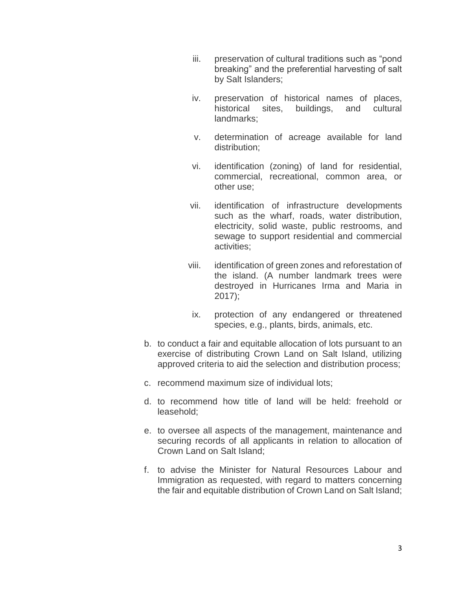- iii. preservation of cultural traditions such as "pond breaking" and the preferential harvesting of salt by Salt Islanders;
- iv. preservation of historical names of places, historical sites, buildings, and cultural landmarks;
- v. determination of acreage available for land distribution;
- vi. identification (zoning) of land for residential, commercial, recreational, common area, or other use;
- vii. identification of infrastructure developments such as the wharf, roads, water distribution, electricity, solid waste, public restrooms, and sewage to support residential and commercial activities;
- viii. identification of green zones and reforestation of the island. (A number landmark trees were destroyed in Hurricanes Irma and Maria in 2017);
- ix. protection of any endangered or threatened species, e.g., plants, birds, animals, etc.
- b. to conduct a fair and equitable allocation of lots pursuant to an exercise of distributing Crown Land on Salt Island, utilizing approved criteria to aid the selection and distribution process;
- c. recommend maximum size of individual lots;
- d. to recommend how title of land will be held: freehold or leasehold;
- e. to oversee all aspects of the management, maintenance and securing records of all applicants in relation to allocation of Crown Land on Salt Island;
- f. to advise the Minister for Natural Resources Labour and Immigration as requested, with regard to matters concerning the fair and equitable distribution of Crown Land on Salt Island;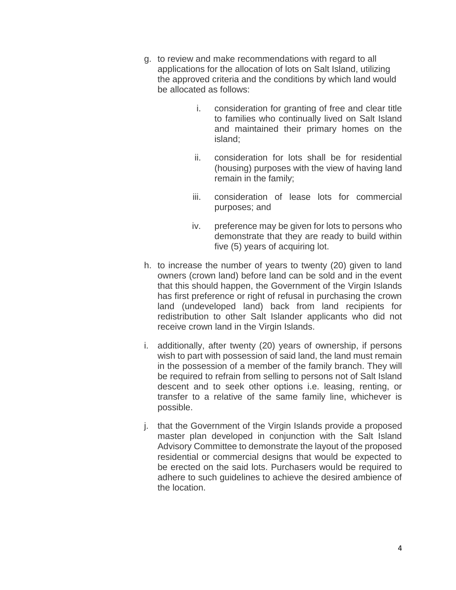- g. to review and make recommendations with regard to all applications for the allocation of lots on Salt Island, utilizing the approved criteria and the conditions by which land would be allocated as follows:
	- i. consideration for granting of free and clear title to families who continually lived on Salt Island and maintained their primary homes on the island;
	- ii. consideration for lots shall be for residential (housing) purposes with the view of having land remain in the family;
	- iii. consideration of lease lots for commercial purposes; and
	- iv. preference may be given for lots to persons who demonstrate that they are ready to build within five (5) years of acquiring lot.
- h. to increase the number of years to twenty (20) given to land owners (crown land) before land can be sold and in the event that this should happen, the Government of the Virgin Islands has first preference or right of refusal in purchasing the crown land (undeveloped land) back from land recipients for redistribution to other Salt Islander applicants who did not receive crown land in the Virgin Islands.
- i. additionally, after twenty (20) years of ownership, if persons wish to part with possession of said land, the land must remain in the possession of a member of the family branch. They will be required to refrain from selling to persons not of Salt Island descent and to seek other options i.e. leasing, renting, or transfer to a relative of the same family line, whichever is possible.
- j. that the Government of the Virgin Islands provide a proposed master plan developed in conjunction with the Salt Island Advisory Committee to demonstrate the layout of the proposed residential or commercial designs that would be expected to be erected on the said lots. Purchasers would be required to adhere to such quidelines to achieve the desired ambience of the location.